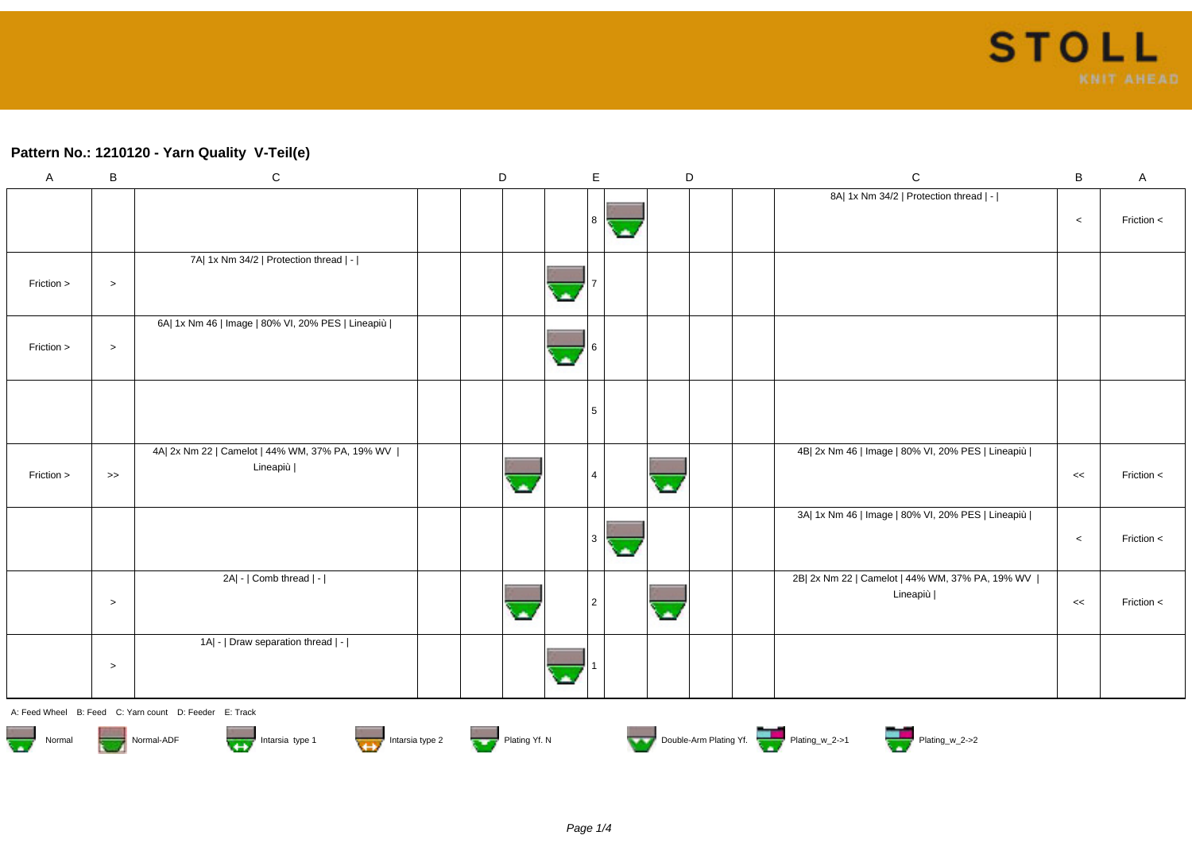## **Pattern No.: 1210120 - Yarn Quality V-Teil(e)**

| A          | B         | ${\bf C}$                                                     | D | $\mathsf E$ | D | $\mathsf{C}$                                                  | $\, {\bf B}$ | A          |
|------------|-----------|---------------------------------------------------------------|---|-------------|---|---------------------------------------------------------------|--------------|------------|
|            |           |                                                               |   | 8 ا         |   | 8A  1x Nm 34/2   Protection thread   -                        | $\,<$        | Friction < |
| Friction > | $\, > \,$ | 7A  1x Nm 34/2   Protection thread   -                        |   |             |   |                                                               |              |            |
| Friction > | $\, >$    | 6A  1x Nm 46   Image   80% VI, 20% PES   Lineapiù             |   |             |   |                                                               |              |            |
|            |           |                                                               |   | 5           |   |                                                               |              |            |
| Friction > | $\gt$     | 4A  2x Nm 22   Camelot   44% WM, 37% PA, 19% WV  <br>Lineapiù |   |             |   | 4B  2x Nm 46   Image   80% VI, 20% PES   Lineapiù             | <<           | Friction < |
|            |           |                                                               |   | 3           |   | 3A  1x Nm 46   Image   80% VI, 20% PES   Lineapiù             | $\,<\,$      | Friction < |
|            | $\, > \,$ | 2A  -   Comb thread   -                                       |   | 2           |   | 2B  2x Nm 22   Camelot   44% WM, 37% PA, 19% WV  <br>Lineapiù | $<<$         | Friction < |
|            | $\, > \,$ | 1A  -   Draw separation thread   -                            |   |             |   |                                                               |              |            |

A: Feed Wheel B: Feed C: Yarn count D: Feeder E: Track













Normal Normal-ADF Intarsia type 1 Intarsia type 2 Intarsia type 2 Plating Yf. N Double-Arm Plating Yf. Plating\_w\_2->1 Plating\_w\_2->2

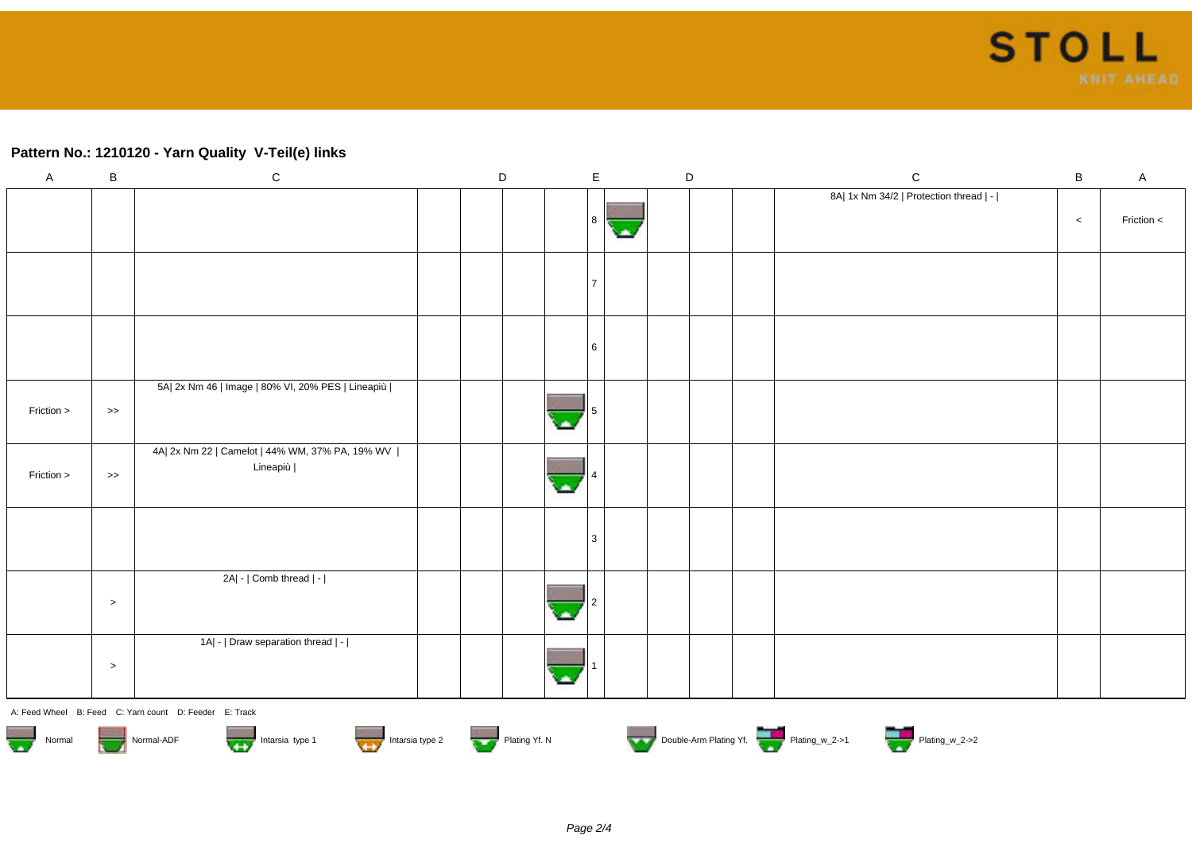## **Pattern No.: 1210120 - Yarn Quality V-Teil(e) links**

| $\mathsf A$ | $\, {\bf B}$     | ${\bf C}$                                                     | $\mathsf D$ |      | $\mathsf E$ | D | ${\bf C}$                              | $\, {\bf B}$ | $\mathsf{A}$ |
|-------------|------------------|---------------------------------------------------------------|-------------|------|-------------|---|----------------------------------------|--------------|--------------|
|             |                  |                                                               |             |      | -8          |   | 8A  1x Nm 34/2   Protection thread   - | $\,<$        | Friction <   |
|             |                  |                                                               |             |      |             |   |                                        |              |              |
|             |                  |                                                               |             |      | l 6         |   |                                        |              |              |
| Friction >  | $\boldsymbol{>}$ | 5A  2x Nm 46   Image   80% VI, 20% PES   Lineapiù             |             | alla |             |   |                                        |              |              |
| Friction >  | $\Rightarrow$    | 4A  2x Nm 22   Camelot   44% WM, 37% PA, 19% WV  <br>Lineapiù |             |      |             |   |                                        |              |              |
|             |                  |                                                               |             |      |             |   |                                        |              |              |
|             | $\,>$            | 2A  -   Comb thread   -                                       |             |      |             |   |                                        |              |              |
|             | $\,>$            | 1A  -   Draw separation thread   -                            |             |      |             |   |                                        |              |              |
|             |                  | A: Feed Wheel R: Feed C: Yarn count D: Feeder F: Track        |             |      |             |   |                                        |              |              |













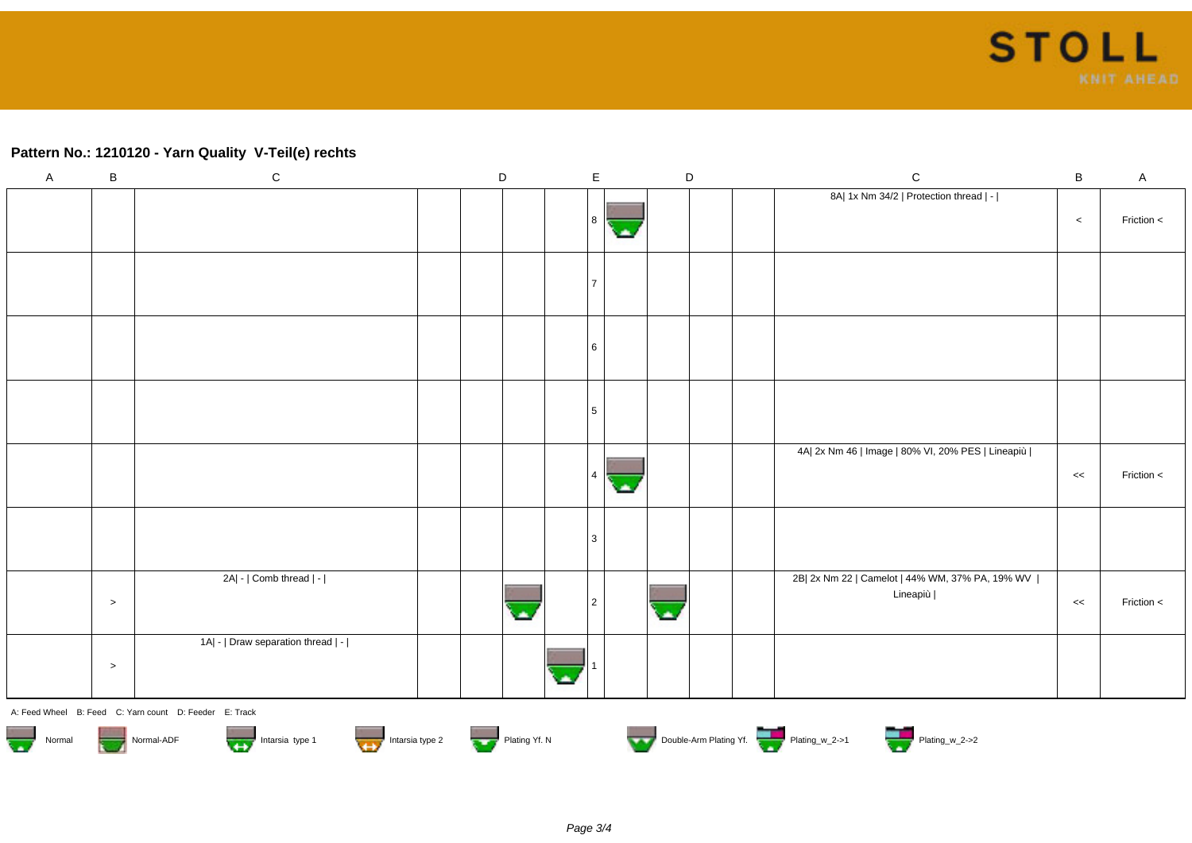## **Pattern No.: 1210120 - Yarn Quality V-Teil(e) rechts**

| $\mathsf A$                       | $\, {\bf B}$  | ${\bf C}$                                                   | D | $\mathsf E$ |   |             | D | $\mathsf C$                                                   | $\sf{B}$ | $\mathsf{A}$ |
|-----------------------------------|---------------|-------------------------------------------------------------|---|-------------|---|-------------|---|---------------------------------------------------------------|----------|--------------|
|                                   |               |                                                             |   | 8           |   |             |   | 8A  1x Nm 34/2   Protection thread   -                        | $\,<\,$  | Friction <   |
|                                   |               |                                                             |   |             | × |             |   |                                                               |          |              |
|                                   |               |                                                             |   | 17          |   |             |   |                                                               |          |              |
|                                   |               |                                                             |   |             |   |             |   |                                                               |          |              |
|                                   |               |                                                             |   | <b>6</b>    |   |             |   |                                                               |          |              |
|                                   |               |                                                             |   |             |   |             |   |                                                               |          |              |
|                                   |               |                                                             |   | 5           |   |             |   |                                                               |          |              |
|                                   |               |                                                             |   |             |   |             |   |                                                               |          |              |
|                                   |               |                                                             |   | $\vert$ 4   |   |             |   | 4A  2x Nm 46   Image   80% VI, 20% PES   Lineapiù             | <<       | Friction <   |
|                                   |               |                                                             |   |             | × |             |   |                                                               |          |              |
|                                   |               |                                                             |   | 3           |   |             |   |                                                               |          |              |
|                                   |               |                                                             |   |             |   |             |   |                                                               |          |              |
|                                   | $\rightarrow$ | 2A  -   Comb thread   -                                     |   | 2           |   |             |   | 2B  2x Nm 22   Camelot   44% WM, 37% PA, 19% WV  <br>Lineapiù | <<       | Friction <   |
|                                   |               |                                                             |   |             |   | $\triangle$ |   |                                                               |          |              |
|                                   |               | 1A  -   Draw separation thread   -                          |   |             |   |             |   |                                                               |          |              |
|                                   | $\,>$         |                                                             |   |             |   |             |   |                                                               |          |              |
|                                   |               | A: Feed Wheel B: Feed C: Yarn count D: Feeder E: Track      |   |             |   |             |   |                                                               |          |              |
| $\overline{\mathbf{v}}$<br>Normal |               | Intarsia type 1 Intarsia type 2 Plating Yf. N<br>Normal-ADF |   |             |   |             |   | Double-Arm Plating Yf.                                        |          |              |